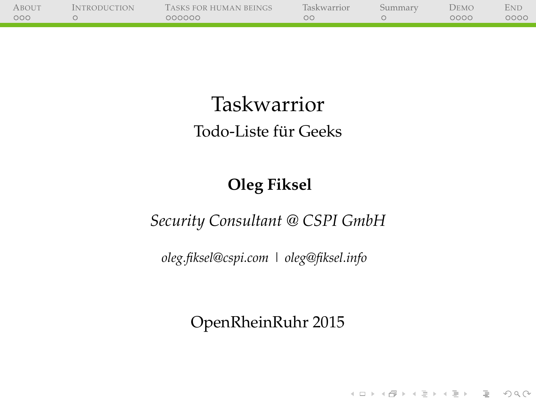| <b>ABOUT</b> | <b>INTRODUCTION</b> | TASKS FOR HUMAN BEINGS | Taskwarrior | Summary | Demo | <b>END</b> |
|--------------|---------------------|------------------------|-------------|---------|------|------------|
| 000          |                     | 000000                 | ОC          |         | 0000 | 0000       |
|              |                     |                        |             |         |      |            |

### Taskwarrior Todo-Liste für Geeks

#### **Oleg Fiksel**

#### *Security Consultant @ CSPI GmbH*

*[oleg.fiksel@cspi.com](mailto:oleg.fiksel@cspi.com) | [oleg@fiksel.info](mailto:oleg@fiksel.info)*

#### OpenRheinRuhr 2015

(ロ) (@) (혼) (혼) (혼) 2000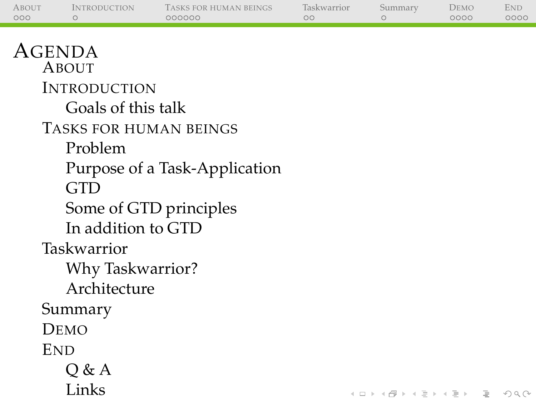| <b>ABOUT</b> | <i><b>INTRODUCTION</b></i> | TASKS FOR HUMAN BEINGS | <b>Taskwarrior</b> | Summary | DEMO | <b>END</b> |
|--------------|----------------------------|------------------------|--------------------|---------|------|------------|
| 000          |                            | 000000                 |                    |         | 0000 | 0000       |
|              |                            |                        |                    |         |      |            |

(ロ) (@) (경) (경) (경) 경 990

#### AGENDA

A[BOUT](#page-2-0) I[NTRODUCTION](#page-5-0) [Goals of this talk](#page-5-0) T[ASKS FOR HUMAN BEINGS](#page-9-0) [Problem](#page-9-0) [Purpose of a Task-Application](#page-12-0) [GTD](#page-16-0) [Some of GTD principles](#page-20-0) [In addition to GTD](#page-31-0) [Taskwarrior](#page-39-0) [Why Taskwarrior?](#page-39-0) [Architecture](#page-52-0) [Summary](#page-53-0) D[EMO](#page-58-0) **E[ND](#page-62-0)** [Q & A](#page-62-0) [Links](#page-63-0)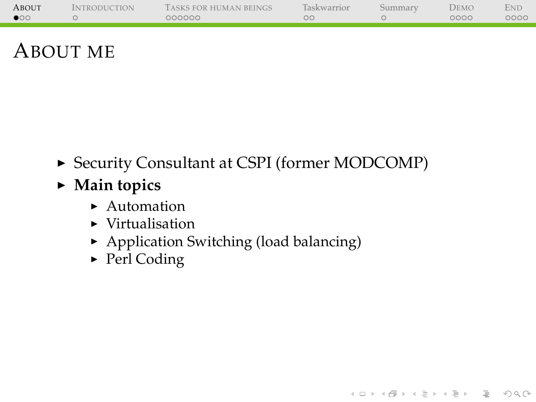| <b>ABOUT</b> | <b>INTRODUCTION</b> | TASKS FOR HUMAN BEINGS | <b>Taskwarrior</b> | Summarv | Demo | End  |
|--------------|---------------------|------------------------|--------------------|---------|------|------|
| $\bullet$    |                     | 000000                 | ОC                 |         | 0000 | 0000 |
|              |                     |                        |                    |         |      |      |

### ABOUT ME

▶ Security Consultant at CSPI (former MODCOMP)

(ロ) (@) (경) (경) (경) 경 990

- <span id="page-2-0"></span>▶ Main topics
	- $\blacktriangleright$  Automation
	- $\blacktriangleright$  Virtualisation
	- $\blacktriangleright$  Application Switching (load balancing)
	- $\blacktriangleright$  Perl Coding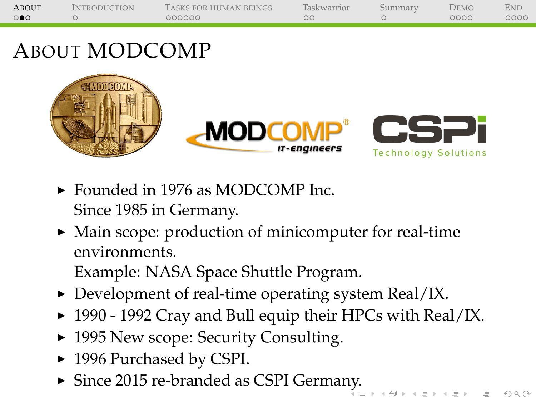| <b>ABOUT</b>        | <i><b>INTRODUCTION</b></i> | TASKS FOR HUMAN BEINGS | Taskwarrior | Summarv | <b>JEMO</b> | END  |
|---------------------|----------------------------|------------------------|-------------|---------|-------------|------|
| $\circ\bullet\circ$ |                            | 000000                 | oο          |         | 0000        | 0000 |
|                     |                            |                        |             |         |             |      |

## ABOUT MODCOMP



- ► Founded in 1976 as MODCOMP Inc. Since 1985 in Germany.
- $\triangleright$  Main scope: production of minicomputer for real-time environments. Example: NASA Space Shuttle Program.
- $\triangleright$  Development of real-time operating system Real/IX.
- $\blacktriangleright$  1990 1992 Cray and Bull equip their HPCs with Real/IX.
- ▶ 1995 New scope: Security Consulting.
- ▶ 1996 Purchased by CSPI.
- $\blacktriangleright$  Since 2015 re-branded as CSPI Germa[ny](#page-2-0).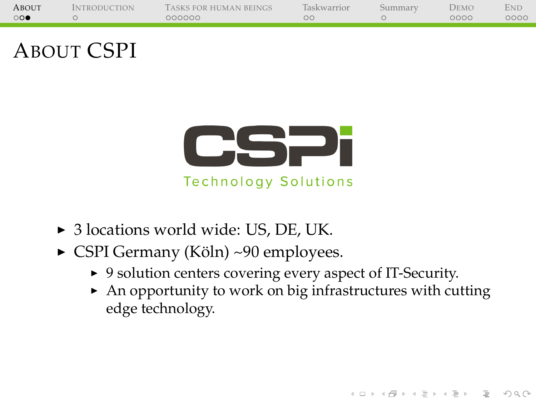| ABOUT   | <b>INTRODUCTION</b> | TASKS FOR HUMAN BEINGS | Taskwarrior | Summarv | DEMO | Eni  |
|---------|---------------------|------------------------|-------------|---------|------|------|
| $\circ$ |                     | 000000                 | ОC          |         | 0000 | 0000 |
|         |                     |                        |             |         |      |      |

### ABOUT CSPI



**Technology Solutions** 

- ▶ 3 locations world wide: US, DE, UK.
- $\triangleright$  CSPI Germany (Köln) ~90 employees.
	- ▶ 9 solution centers covering every aspect of IT-Security.
	- $\triangleright$  An opportunity to work on big infrastructures with cutting edge technology.

HERRICH STRAIN STRAIN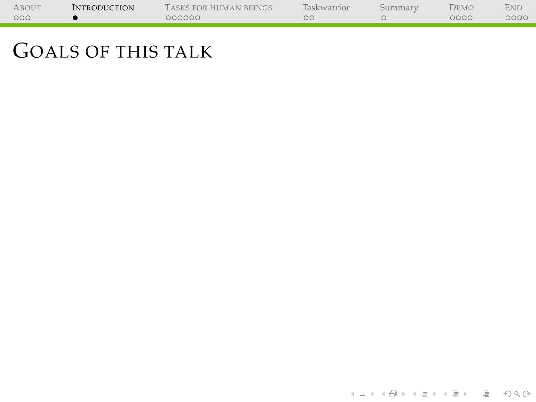<span id="page-5-0"></span>

| ABOUT | <b>INTRODUCTION</b> | TASKS FOR HUMAN BEINGS | Taskwarrior | Summarv | DEMO | End  |
|-------|---------------------|------------------------|-------------|---------|------|------|
| 000   |                     | 000000                 |             |         | 0000 | 0000 |
|       |                     |                        |             |         |      |      |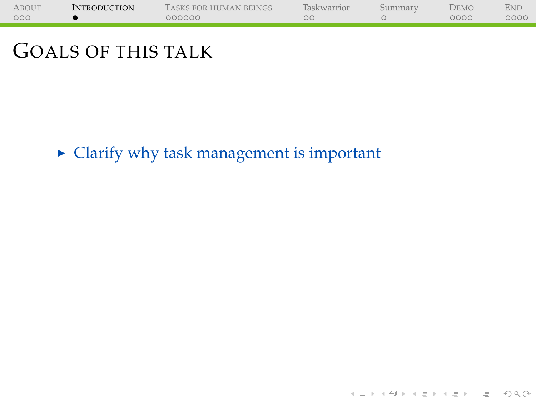| ABOUT | <b>INTRODUCTION</b> | TASKS FOR HUMAN BEINGS | Taskwarrior | Summarv | Demo | Eni  |
|-------|---------------------|------------------------|-------------|---------|------|------|
| 000   |                     | 000000                 |             |         | 0000 | 0000 |
|       |                     |                        |             |         |      |      |

 $\blacktriangleright$  Clarify why task management is important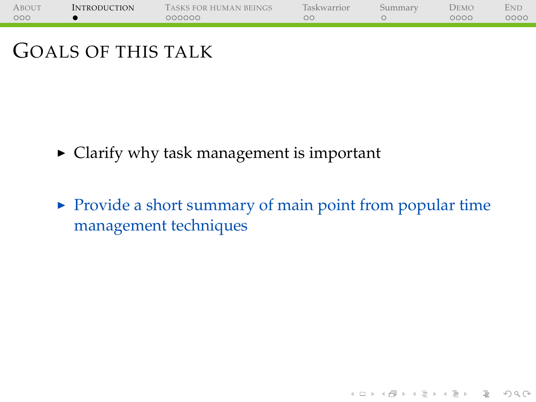| ABOUT | <b>INTRODUCTION</b> | TASKS FOR HUMAN BEINGS | Taskwarrior | Summarv | DEMO | <b>END</b> |
|-------|---------------------|------------------------|-------------|---------|------|------------|
| 000   |                     | 000000                 |             |         | 0000 | 0000       |
|       |                     |                        |             |         |      |            |

- $\triangleright$  Clarify why task management is important
- $\triangleright$  Provide a short summary of main point from popular time management techniques

(ロ) (@) (혼) (혼) (혼) 2000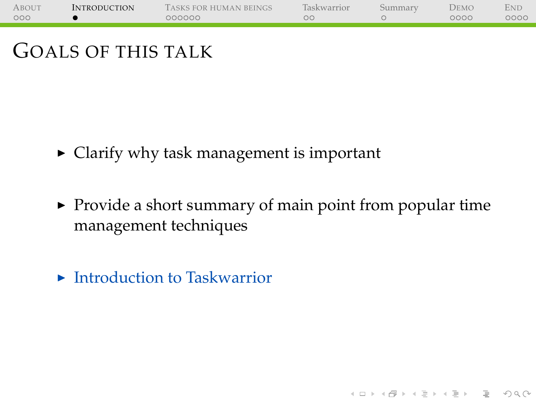| ABOUT | <b>INTRODUCTION</b> | TASKS FOR HUMAN BEINGS | Taskwarrior | Summarv | DEMO | <b>END</b> |
|-------|---------------------|------------------------|-------------|---------|------|------------|
| 000   |                     | 000000                 |             |         | 0000 | 0000       |
|       |                     |                        |             |         |      |            |

- $\triangleright$  Clarify why task management is important
- $\triangleright$  Provide a short summary of main point from popular time management techniques

**K ロ ▶ K (日 ) X X ミ > X ミ > → ミ → 9 Q (V)** 

 $\blacktriangleright$  Introduction to Taskwarrior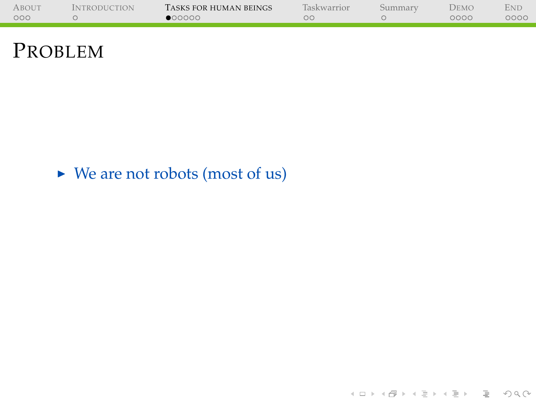| <b>ABOUT</b> | <b>INTRODUCTION</b> | TASKS FOR HUMAN BEINGS | Taskwarrior | Summarv | Demo | <b>END</b> |
|--------------|---------------------|------------------------|-------------|---------|------|------------|
| 000          |                     | $\bullet$ 00000        |             |         | 0000 | 0000       |
|              |                     |                        |             |         |      |            |

#### PROBLEM

#### <span id="page-9-0"></span> $\triangleright$  We are not robots (most of us)

イロトイ団トイミトイミト ミニの久心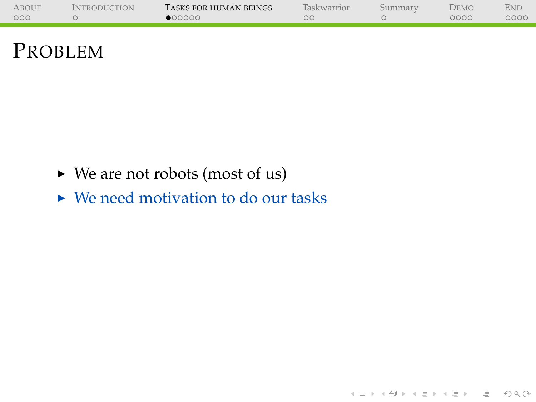| <b>ABOUT</b> | <i><b>INTRODUCTION</b></i> | TASKS FOR HUMAN BEINGS | <b>Taskwarrior</b> | Summarv | <b>DEMO</b> | <b>END</b> |
|--------------|----------------------------|------------------------|--------------------|---------|-------------|------------|
| 000          |                            | $\bullet$ 00000        |                    |         | 0000        | 0000       |
|              |                            |                        |                    |         |             |            |

(ロ) (@) (경) (경) (경) 경 990

#### PROBLEM

- $\triangleright$  We are not robots (most of us)
- $\triangleright$  We need motivation to do our tasks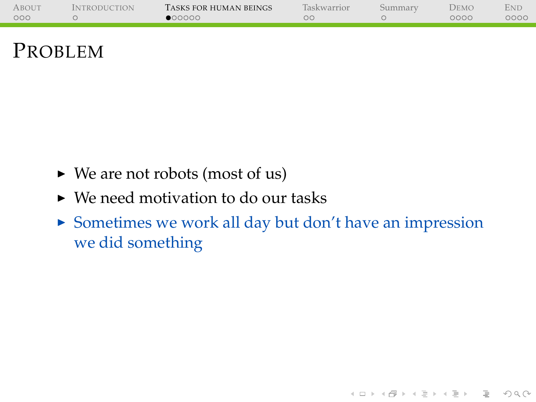| <b>ABOUT</b> | <b>INTRODUCTION</b> | TASKS FOR HUMAN BEINGS | <b>Taskwarrior</b> | Summarv | Demo | Ene  |
|--------------|---------------------|------------------------|--------------------|---------|------|------|
| 000          |                     | $\bullet$ 00000        |                    |         | 0000 | ೦೦೦೦ |
|              |                     |                        |                    |         |      |      |

#### PROBLEM

- $\triangleright$  We are not robots (most of us)
- $\triangleright$  We need motivation to do our tasks
- $\triangleright$  Sometimes we work all day but don't have an impression we did something

(ロ) (@) (경) (경) (경) 경 990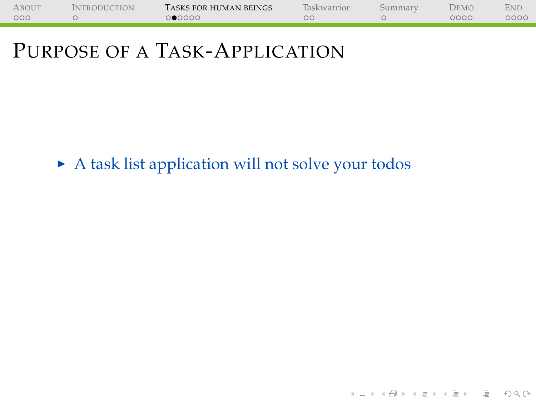| <b>ABOUT</b> | <b>INTRODUCTION</b> | TASKS FOR HUMAN BEINGS | Taskwarrior | Summarv | DEMO | <b>ENL</b> |
|--------------|---------------------|------------------------|-------------|---------|------|------------|
| 000          |                     | 000000                 |             |         | 0000 | 0000       |
|              |                     |                        |             |         |      |            |

<span id="page-12-0"></span> $\blacktriangleright$  A task list application will not solve your todos

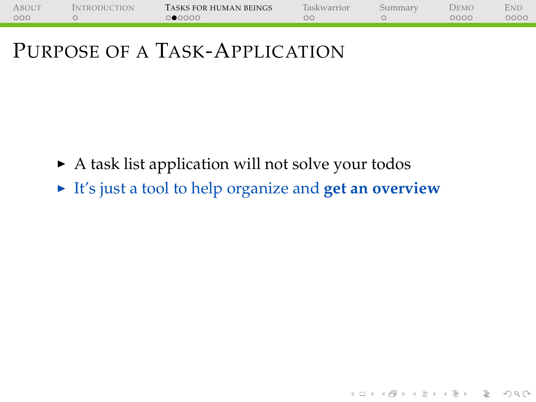| <b>ABOUT</b> | <b>INTRODUCTION</b> | TASKS FOR HUMAN BEINGS | Taskwarrior | Summarv | DEMO | <b>ENI</b> |
|--------------|---------------------|------------------------|-------------|---------|------|------------|
| 000          |                     | ೦●೦೦೦೦                 |             |         | 0000 | 0000       |
|              |                     |                        |             |         |      |            |

- $\triangleright$  A task list application will not solve your todos
- It's just a tool to help organize and **get an overview**

아마 아이라 아이들 아이들이 다 들어.

 $OQ$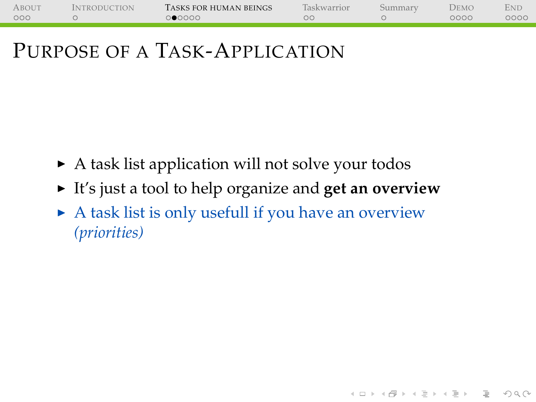| <b>ABOUT</b> | <b>INTRODUCTION</b> | TASKS FOR HUMAN BEINGS | Taskwarrior | Summarv | DEMO | <b>ENI</b> |
|--------------|---------------------|------------------------|-------------|---------|------|------------|
| 000          |                     | ೦●೦೦೦೦                 |             |         | 0000 | 0000       |
|              |                     |                        |             |         |      |            |

- $\triangleright$  A task list application will not solve your todos
- It's just a tool to help organize and get an overview

(ロ) (图) (경) (경) (경) 1월 1000

 $\triangleright$  A task list is only usefull if you have an overview *(priorities)*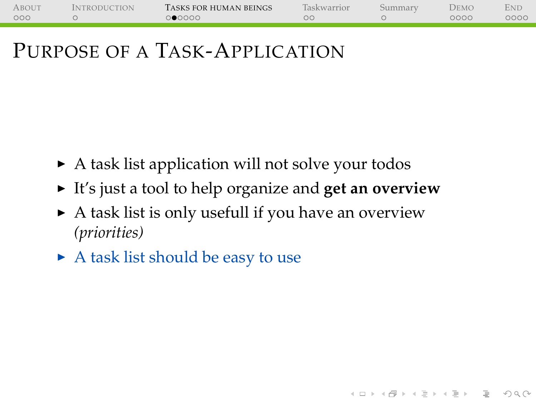| <b>ABOUT</b> | <b>INTRODUCTION</b> | TASKS FOR HUMAN BEINGS | Taskwarrior | Summarv | DEMO | <b>ENI</b> |
|--------------|---------------------|------------------------|-------------|---------|------|------------|
| 000          |                     | ೦●೦೦೦೦                 |             |         | 0000 | 0000       |
|              |                     |                        |             |         |      |            |

- $\triangleright$  A task list application will not solve your todos
- ► It's just a tool to help organize and **get an overview**

(ロ) (图) (경) (경) (경) 1월 1000

- $\triangleright$  A task list is only usefull if you have an overview *(priorities)*
- $\triangleright$  A task list should be easy to use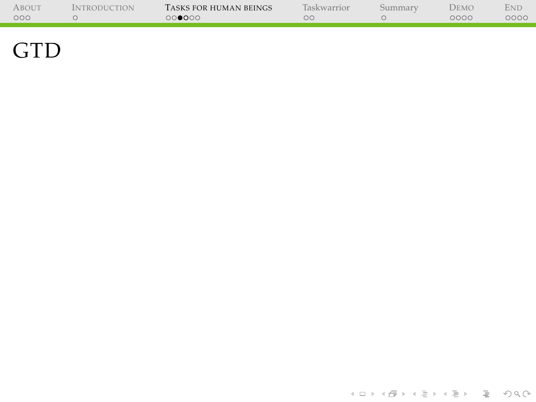| <b>ABOUT</b> | <i><b>INTRODUCTION</b></i> | TASKS FOR HUMAN BEINGS | <b>Taskwarrior</b> | Summary | DEMO | Eni  |
|--------------|----------------------------|------------------------|--------------------|---------|------|------|
| 000          |                            | 000000                 |                    |         | 0000 | 0000 |
|              |                            |                        |                    |         |      |      |

<span id="page-16-0"></span>÷,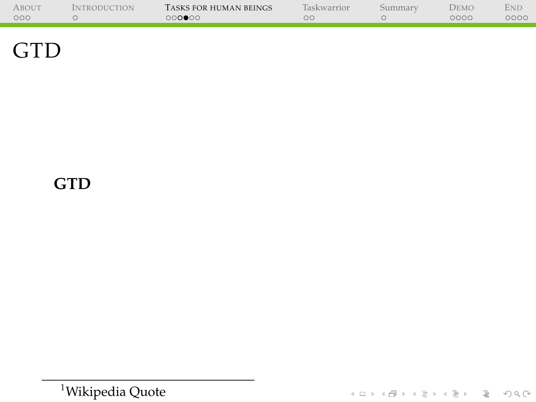| <b>ABOUT</b> | <b>NTRODUCTION</b> | TASKS FOR HUMAN BEINGS | <b>Taskwarrior</b> | Summarv | DEMO | Ene  |
|--------------|--------------------|------------------------|--------------------|---------|------|------|
| 000          |                    | ററ∩∎ററ                 |                    |         | 0000 | 0000 |
|              |                    |                        |                    |         |      |      |
|              |                    |                        |                    |         |      |      |

۰

#### **GTD**

<sup>1</sup>[Wikipedia Quote](https://en.wikipedia.org/wiki/Getting_Things_Done)

**Kロト K個 K K ミト K E K L E K Y Q Q Q**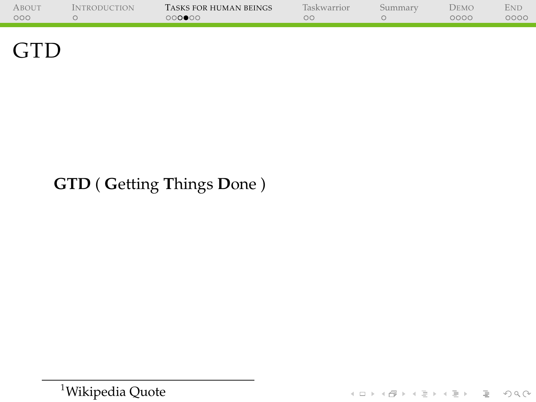| <b>ABOUT</b> | <b>INTRODUCTION</b> | TASKS FOR HUMAN BEINGS | <b>Taskwarrior</b> | Summarv | Demo | Eni  |
|--------------|---------------------|------------------------|--------------------|---------|------|------|
| 000          |                     | 000000                 |                    |         | 0000 | 0000 |
|              |                     |                        |                    |         |      |      |
|              |                     |                        |                    |         |      |      |

#### **GTD** ( **G**etting **T**hings **D**one )

<sup>1</sup>[Wikipedia Quote](https://en.wikipedia.org/wiki/Getting_Things_Done)

イロトイ団トイミトイミト ミニの久心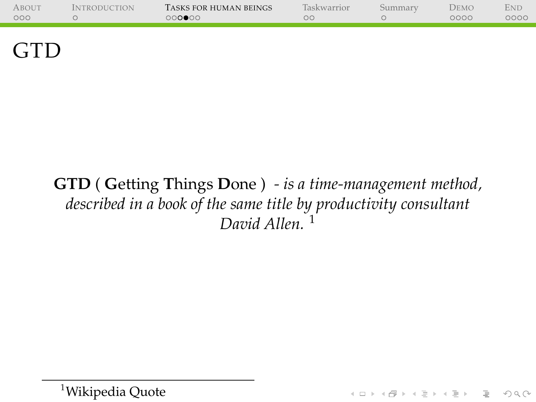| <b>ABOUT</b> | <i><b>INTRODUCTION</b></i> | TASKS FOR HUMAN BEINGS | Taskwarrior | bummary | DEMO | <b>ENL</b> |
|--------------|----------------------------|------------------------|-------------|---------|------|------------|
| 000          |                            | ററ∩∎ററ                 | K           |         | 0000 | ೦೦೦೦       |
|              |                            |                        |             |         |      |            |

#### **GTD** ( **G**etting **T**hings **D**one ) *- is a time-management method, described in a book of the same title by productivity consultant David Allen.* <sup>1</sup>

<sup>1</sup>[Wikipedia Quote](https://en.wikipedia.org/wiki/Getting_Things_Done)

(ロ) (@) (경) (경) (경) 경 990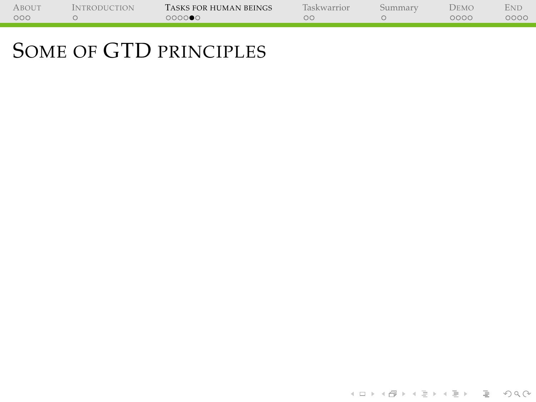<span id="page-20-0"></span>

| <b>ABOUT</b> | <i>Introduction</i> | TASKS FOR HUMAN BEINGS | <b>Taskwarrior</b> | Summarv | Demo | Ene  |
|--------------|---------------------|------------------------|--------------------|---------|------|------|
| 000          |                     | 0000●0                 |                    |         | 0000 | 0000 |
|              |                     |                        |                    |         |      |      |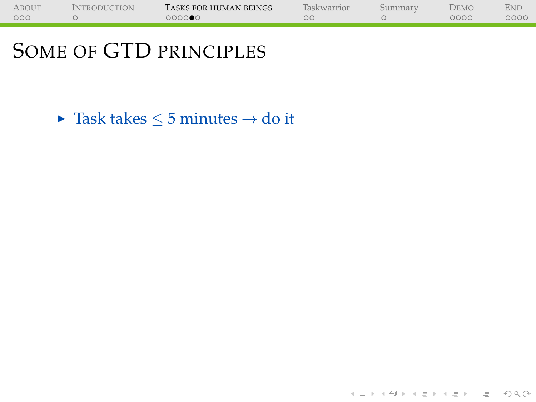| ABOUT | <b>INTRODUCTION</b> | TASKS FOR HUMAN BEINGS | Taskwarrior | Summarv | Demo | END  |
|-------|---------------------|------------------------|-------------|---------|------|------|
| 000   |                     | 0000●0                 | oc          |         | 0000 | 0000 |
|       |                     |                        |             |         |      |      |

► Task takes  $\leq$  5 minutes  $\rightarrow$  do it

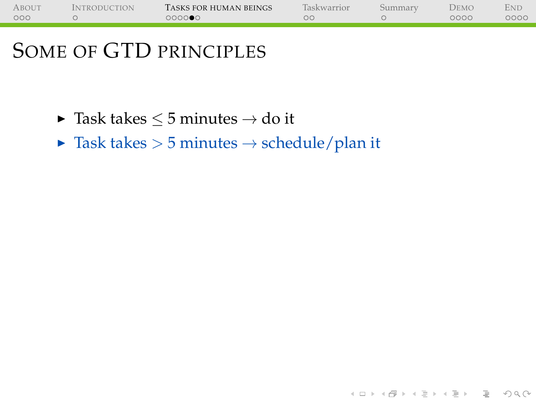| ABOUT | <i>Introduction</i> | TASKS FOR HUMAN BEINGS | Taskwarrior | Summarv | DEMO | END  |
|-------|---------------------|------------------------|-------------|---------|------|------|
| 000   |                     | 0000●0                 | ОC          |         | 0000 | 0000 |
|       |                     |                        |             |         |      |      |

- ► Task takes  $\leq$  5 minutes  $\rightarrow$  do it
- $\blacktriangleright$  Task takes  $> 5$  minutes  $\rightarrow$  schedule/plan it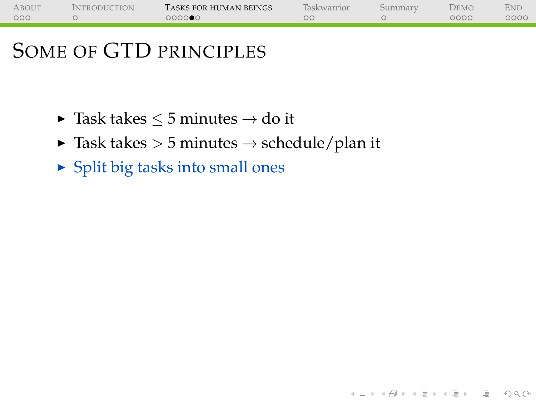| <b>ABOUT</b> | <i>Introduction</i> | TASKS FOR HUMAN BEINGS | Taskwarrior | Summarv | DEMO | Eni  |
|--------------|---------------------|------------------------|-------------|---------|------|------|
| 000          |                     | 0000●0                 | ОC          |         | 0000 | 0000 |
|              |                     |                        |             |         |      |      |

(ロ) (@) (경) (경) (경) 경 990

- $\blacktriangleright$  Task takes  $\leq$  5 minutes  $\rightarrow$  do it
- $\triangleright$  Task takes  $> 5$  minutes  $\rightarrow$  schedule/plan it
- $\triangleright$  Split big tasks into small ones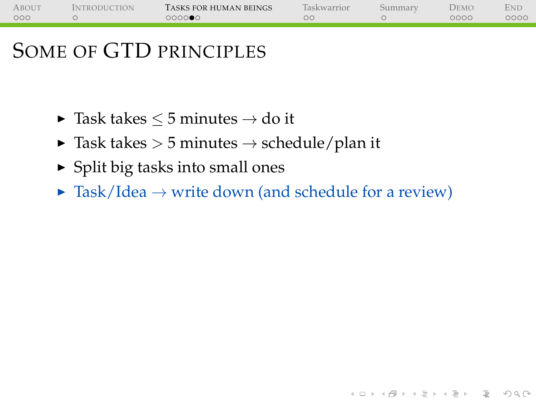| ABOUT | <b>INTRODUCTION</b> | TASKS FOR HUMAN BEINGS | Taskwarrior | Summarv | DEMO | <b>END</b> |
|-------|---------------------|------------------------|-------------|---------|------|------------|
| 000   |                     | 000000                 |             |         | 0000 | 0000       |
|       |                     |                        |             |         |      |            |

- ► Task takes  $\leq$  5 minutes  $\rightarrow$  do it
- $\triangleright$  Task takes  $> 5$  minutes  $\rightarrow$  schedule/plan it
- $\triangleright$  Split big tasks into small ones
- $\triangleright$  Task/Idea  $\rightarrow$  write down (and schedule for a review)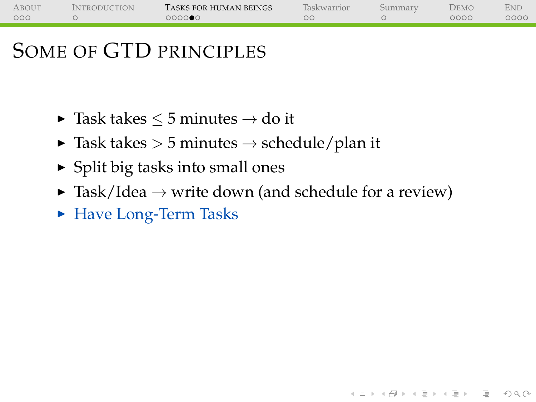| <b>ABOUT</b> | <b>INTRODUCTION</b> | TASKS FOR HUMAN BEINGS | Taskwarrior | Summarv | DEMO | <b>ENL</b> |
|--------------|---------------------|------------------------|-------------|---------|------|------------|
| 000          |                     | 0000●0                 |             |         | 0000 | 0000       |
|              |                     |                        |             |         |      |            |

- $\blacktriangleright$  Task takes  $\leq 5$  minutes  $\rightarrow$  do it
- $\blacktriangleright$  Task takes  $>$  5 minutes  $\rightarrow$  schedule/plan it
- $\triangleright$  Split big tasks into small ones
- $\triangleright$  Task/Idea  $\rightarrow$  write down (and schedule for a review)

(ロ) (@) (경) (경) (경) 경 990

► Have Long-Term Tasks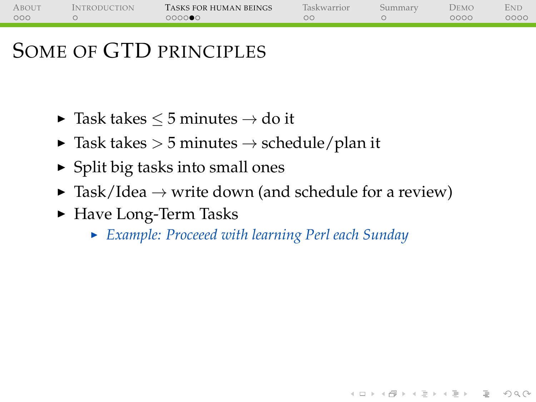| <b>ABOUT</b> | <b>INTRODUCTION</b> | TASKS FOR HUMAN BEINGS | Taskwarrior | Summarv | DEMO | <b>ENL</b> |
|--------------|---------------------|------------------------|-------------|---------|------|------------|
| 000          |                     | 0000●0                 |             |         | 0000 | 0000       |
|              |                     |                        |             |         |      |            |

- $\blacktriangleright$  Task takes  $\leq 5$  minutes  $\rightarrow$  do it
- $\triangleright$  Task takes  $> 5$  minutes  $\rightarrow$  schedule/plan it
- $\triangleright$  Split big tasks into small ones
- $\triangleright$  Task/Idea  $\rightarrow$  write down (and schedule for a review)
- ► Have Long-Term Tasks
	- <sup>I</sup> *Example: Proceeed with learning Perl each Sunday*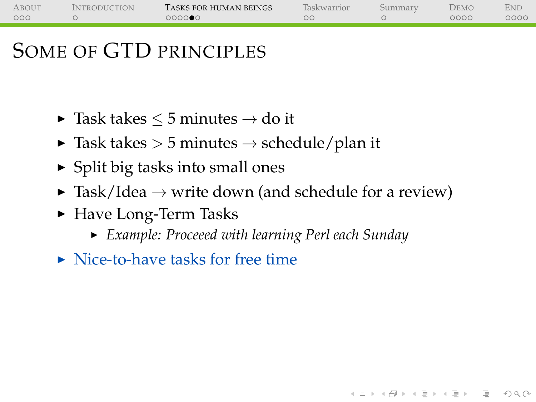| <b>ABOUT</b> | <b>INTRODUCTION</b> | TASKS FOR HUMAN BEINGS | Taskwarrior | Summarv | DEMO | <b>ENL</b> |
|--------------|---------------------|------------------------|-------------|---------|------|------------|
| 000          |                     | 0000●0                 |             |         | 0000 | 0000       |
|              |                     |                        |             |         |      |            |

- $\blacktriangleright$  Task takes  $\leq 5$  minutes  $\rightarrow$  do it
- $\triangleright$  Task takes  $> 5$  minutes  $\rightarrow$  schedule/plan it
- $\triangleright$  Split big tasks into small ones
- $\triangleright$  Task/Idea  $\rightarrow$  write down (and schedule for a review)
- ► Have Long-Term Tasks
	- <sup>I</sup> *Example: Proceeed with learning Perl each Sunday*

**KOD KARD KED KED B YOUR** 

 $\triangleright$  Nice-to-have tasks for free time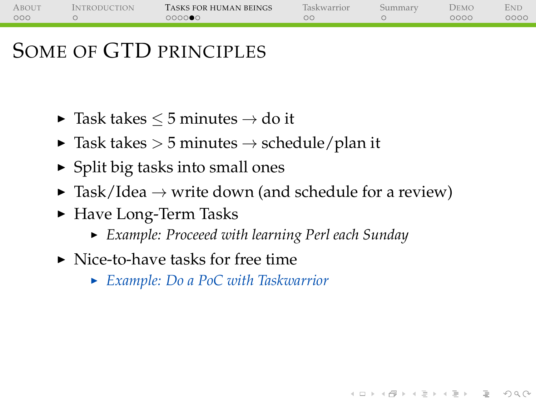| ABOUT | <b>INTRODUCTION</b> | TASKS FOR HUMAN BEINGS | Taskwarrior | Summarv | DEMO | <b>END</b> |
|-------|---------------------|------------------------|-------------|---------|------|------------|
| 000   |                     | 000000                 |             |         | 0000 | 0000       |
|       |                     |                        |             |         |      |            |

- $\blacktriangleright$  Task takes  $\leq 5$  minutes  $\rightarrow$  do it
- $\triangleright$  Task takes  $> 5$  minutes  $\rightarrow$  schedule/plan it
- $\triangleright$  Split big tasks into small ones
- $\triangleright$  Task/Idea  $\rightarrow$  write down (and schedule for a review)
- ► Have Long-Term Tasks
	- <sup>I</sup> *Example: Proceeed with learning Perl each Sunday*

**KOD KARD KED KED B YOUR** 

- $\triangleright$  Nice-to-have tasks for free time
	- <sup>I</sup> *Example: Do a PoC with Taskwarrior*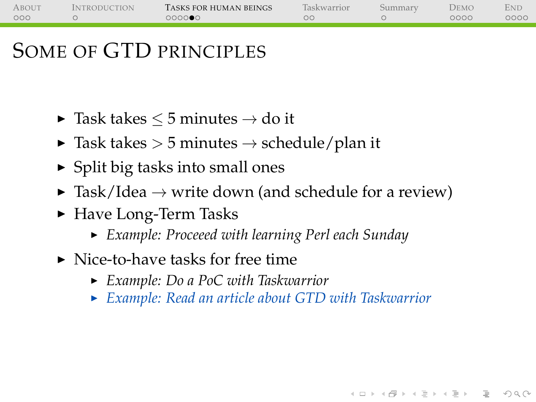| ABOUT | <b>INTRODUCTION</b> | TASKS FOR HUMAN BEINGS | Taskwarrior | Summarv | DEMO | <b>END</b> |
|-------|---------------------|------------------------|-------------|---------|------|------------|
| 000   |                     | 000000                 |             |         | 0000 | 0000       |
|       |                     |                        |             |         |      |            |

- $\blacktriangleright$  Task takes  $\leq 5$  minutes  $\rightarrow$  do it
- $\triangleright$  Task takes  $> 5$  minutes  $\rightarrow$  schedule/plan it
- $\triangleright$  Split big tasks into small ones
- $\triangleright$  Task/Idea  $\rightarrow$  write down (and schedule for a review)
- ► Have Long-Term Tasks
	- <sup>I</sup> *Example: Proceeed with learning Perl each Sunday*
- $\triangleright$  Nice-to-have tasks for free time
	- <sup>I</sup> *Example: Do a PoC with Taskwarrior*
	- <sup>I</sup> *Example: Read an article about GTD with Taskwarrior*

**KOD KARD KED KED B YOUR**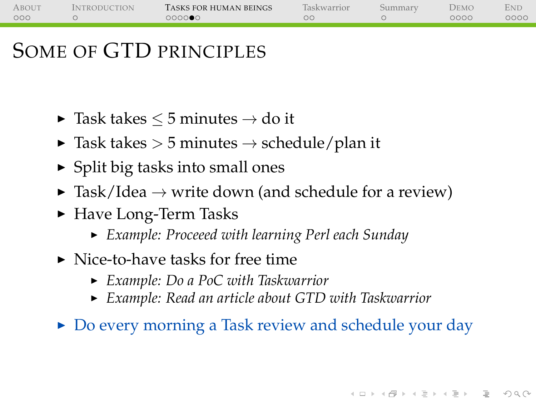| ABOUT | <b>INTRODUCTION</b> | TASKS FOR HUMAN BEINGS | Taskwarrior | Summarv | DEMO | <b>END</b> |
|-------|---------------------|------------------------|-------------|---------|------|------------|
| 000   |                     | 000000                 |             |         | 0000 | 0000       |
|       |                     |                        |             |         |      |            |

- $\blacktriangleright$  Task takes  $\leq 5$  minutes  $\rightarrow$  do it
- $\triangleright$  Task takes  $> 5$  minutes  $\rightarrow$  schedule/plan it
- $\triangleright$  Split big tasks into small ones
- $\triangleright$  Task/Idea  $\rightarrow$  write down (and schedule for a review)
- ► Have Long-Term Tasks
	- <sup>I</sup> *Example: Proceeed with learning Perl each Sunday*
- $\triangleright$  Nice-to-have tasks for free time
	- <sup>I</sup> *Example: Do a PoC with Taskwarrior*
	- <sup>I</sup> *Example: Read an article about GTD with Taskwarrior*
- $\triangleright$  Do every morning a Task review and schedule your day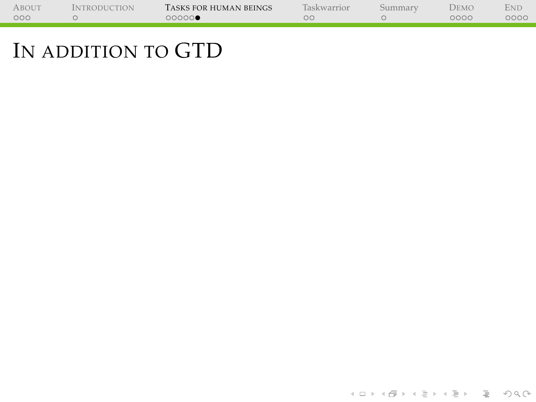| <b>ABOUT</b> | <b>INTRODUCTION</b> | TASKS FOR HUMAN BEINGS | <b>Taskwarrior</b> | Summarv | Demo | Ene  |
|--------------|---------------------|------------------------|--------------------|---------|------|------|
| 000          |                     | 00000€                 | DС                 |         | 0000 | 0000 |
|              |                     |                        |                    |         |      |      |

<span id="page-31-0"></span>÷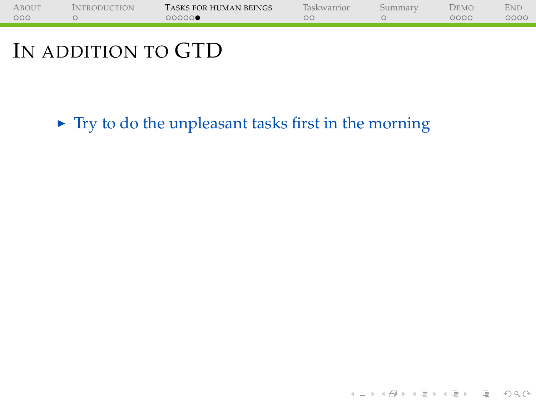| ABOUT | <i><b>INTRODUCTION</b></i> | TASKS FOR HUMAN BEINGS | laskwarrior | <b>DEMO</b> | Eni  |
|-------|----------------------------|------------------------|-------------|-------------|------|
| 000   |                            | ററററ∩∙                 | ЭC          | 0000        | 2000 |
|       |                            |                        |             |             |      |
|       |                            |                        |             |             |      |

 $\triangleright$  Try to do the unpleasant tasks first in the morning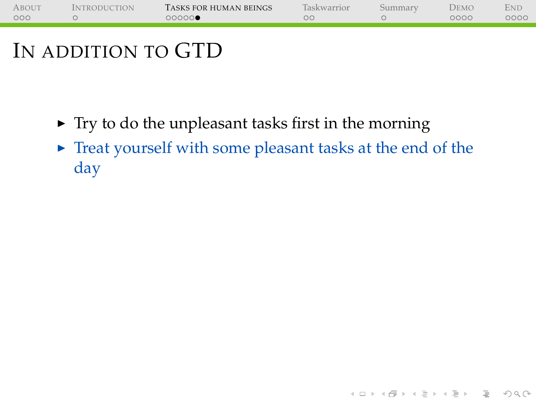| 000<br>0000<br>00000<br>ОC | 0000 |
|----------------------------|------|
|                            |      |

- $\triangleright$  Try to do the unpleasant tasks first in the morning
- $\triangleright$  Treat yourself with some pleasant tasks at the end of the day

(ロ) (@) (코) (코) (코) 2000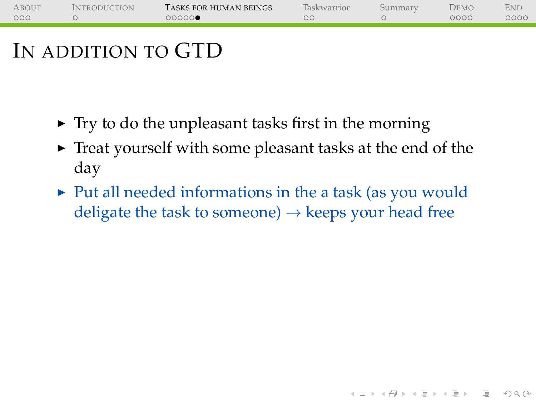| <b>ABOUT</b><br><i><b>INTRODUCTION</b></i> | TASKS FOR HUMAN BEINGS | <b>Taskwarrior</b> | 511mmary | DEMC | ENL  |
|--------------------------------------------|------------------------|--------------------|----------|------|------|
| 000                                        | 00000                  |                    |          | 0000 | 0000 |
|                                            |                        |                    |          |      |      |

- $\triangleright$  Try to do the unpleasant tasks first in the morning
- $\triangleright$  Treat yourself with some pleasant tasks at the end of the day
- $\triangleright$  Put all needed informations in the a task (as you would deligate the task to someone)  $\rightarrow$  keeps your head free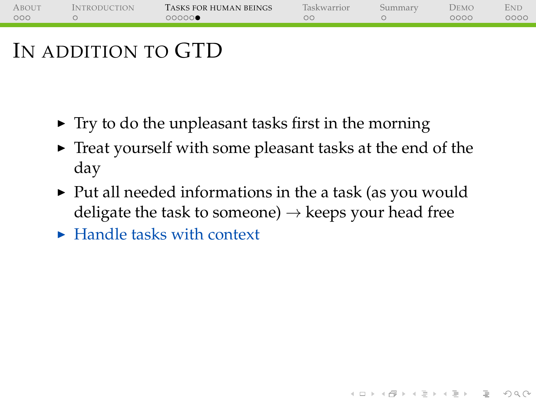| <b>ABOUT</b><br><i><b>INTRODUCTION</b></i> | TASKS FOR HUMAN BEINGS | <b>Taskwarrior</b> | 511mmary | DEMC | ENL  |
|--------------------------------------------|------------------------|--------------------|----------|------|------|
| 000                                        | 00000                  |                    |          | 0000 | 0000 |
|                                            |                        |                    |          |      |      |

- $\triangleright$  Try to do the unpleasant tasks first in the morning
- $\triangleright$  Treat yourself with some pleasant tasks at the end of the day
- $\triangleright$  Put all needed informations in the a task (as you would deligate the task to someone)  $\rightarrow$  keeps your head free

(ロ) (@) (코) (코) (코) 2000

 $\blacktriangleright$  Handle tasks with context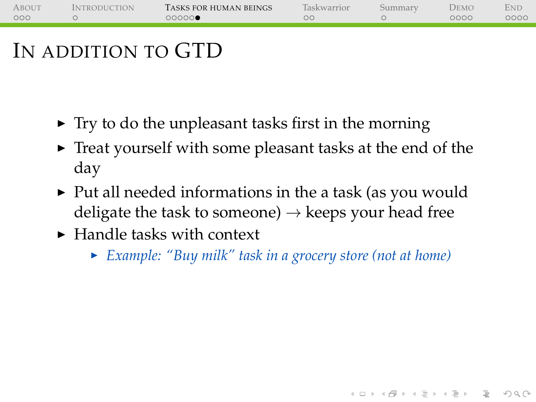| ABOUT | <i><b>INTRODUCTION</b></i> | TASKS FOR HUMAN BEINGS | Taskwarrior | Demo | <b>ENL</b> |
|-------|----------------------------|------------------------|-------------|------|------------|
| 000   |                            | 00000●                 |             | 0000 | 0000       |
|       |                            |                        |             |      |            |
|       |                            |                        |             |      |            |

- $\triangleright$  Try to do the unpleasant tasks first in the morning
- $\triangleright$  Treat yourself with some pleasant tasks at the end of the day
- $\blacktriangleright$  Put all needed informations in the a task (as you would deligate the task to someone)  $\rightarrow$  keeps your head free
- $\blacktriangleright$  Handle tasks with context
	- <sup>I</sup> *Example: "Buy milk" task in a grocery store (not at home)*

**KOD KARD KED KED B YOUR**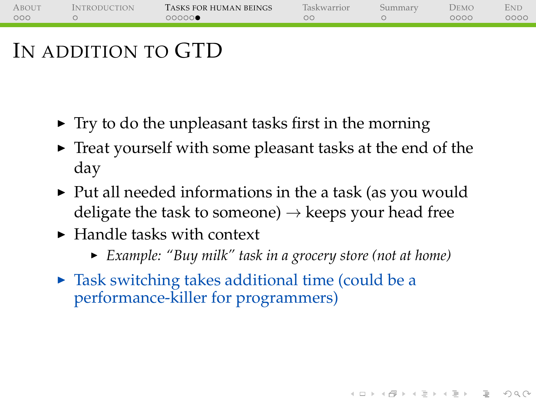| <b>ABOUT</b><br><i><b>INTRODUCTION</b></i> | TASKS FOR HUMAN BEINGS | <b>Taskwarrior</b> | 511mmary | DEMC | ENL  |
|--------------------------------------------|------------------------|--------------------|----------|------|------|
| 000                                        | 00000                  |                    |          | 0000 | 0000 |
|                                            |                        |                    |          |      |      |

- $\triangleright$  Try to do the unpleasant tasks first in the morning
- $\triangleright$  Treat yourself with some pleasant tasks at the end of the day
- $\triangleright$  Put all needed informations in the a task (as you would deligate the task to someone)  $\rightarrow$  keeps your head free
- $\blacktriangleright$  Handle tasks with context
	- ► *Example: "Buy milk" task in a grocery store (not at home)*

(ロ) (@) (코) (코) (코) 2000

 $\triangleright$  Task switching takes additional time (could be a performance-killer for programmers)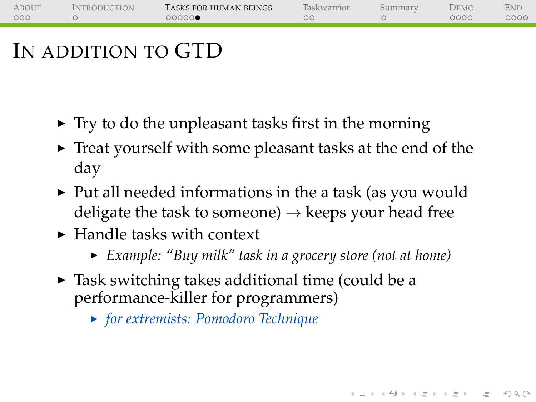| <b>ABOUT</b><br><i><b>INTRODUCTION</b></i> | TASKS FOR HUMAN BEINGS | <b>Taskwarrior</b> | 511mmary | DEMC | ENL  |
|--------------------------------------------|------------------------|--------------------|----------|------|------|
| 000                                        | 00000                  |                    |          | 0000 | ೦೦೦೦ |
|                                            |                        |                    |          |      |      |

- $\triangleright$  Try to do the unpleasant tasks first in the morning
- $\triangleright$  Treat yourself with some pleasant tasks at the end of the day
- $\triangleright$  Put all needed informations in the a task (as you would deligate the task to someone)  $\rightarrow$  keeps your head free
- $\blacktriangleright$  Handle tasks with context
	- ► *Example: "Buy milk" task in a grocery store (not at home)*

(ロ) (@) (코) (코) (코) 2000

- $\triangleright$  Task switching takes additional time (could be a performance-killer for programmers)
	- <sup>I</sup> *for extremists: [Pomodoro Technique](https://en.wikipedia.org/wiki/Pomodoro_Technique)*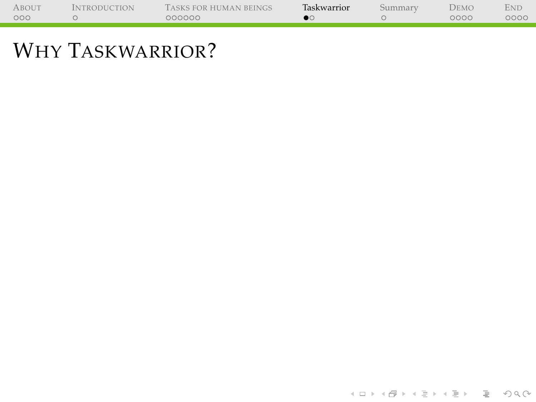| <b>ABOUT</b> | <b>INTRODUCTION</b> | TASKS FOR HUMAN BEINGS | Taskwarrior | Summary | Demo | <b>END</b> |
|--------------|---------------------|------------------------|-------------|---------|------|------------|
| 000          |                     | 000000                 |             |         | 0000 | 0000       |
|              |                     |                        |             |         |      |            |

<span id="page-39-0"></span>۰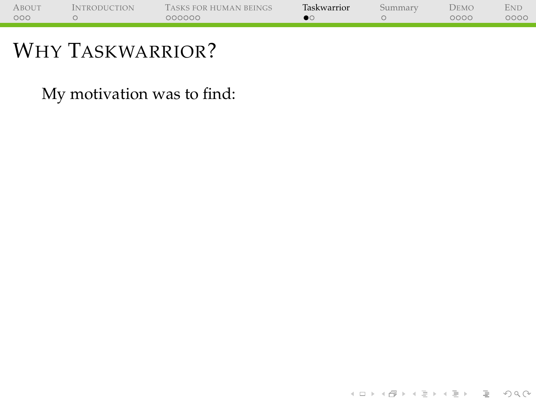| <b>ABOUT</b> | <b>INTRODUCTION</b> | TASKS FOR HUMAN BEINGS | Taskwarrior | Summary | Demo | <b>END</b> |
|--------------|---------------------|------------------------|-------------|---------|------|------------|
| 000          |                     | 000000                 |             |         | 0000 | 0000       |
|              |                     |                        |             |         |      |            |

÷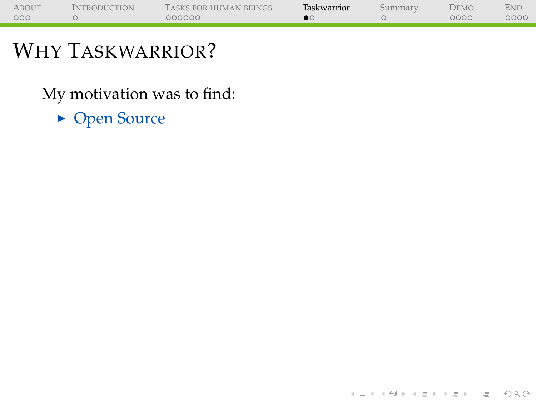| <b>ABOUT</b> | <b>INTRODUCTION</b> | TASKS FOR HUMAN BEINGS | Taskwarrior | Summary | Demo | <b>END</b> |
|--------------|---------------------|------------------------|-------------|---------|------|------------|
| 000          |                     | 000000                 |             |         | 0000 | 0000       |
|              |                     |                        |             |         |      |            |

(ロ) (@) (코) (코) (코) 2000

### WHY TASKWARRIOR?

÷

My motivation was to find:

• Open Source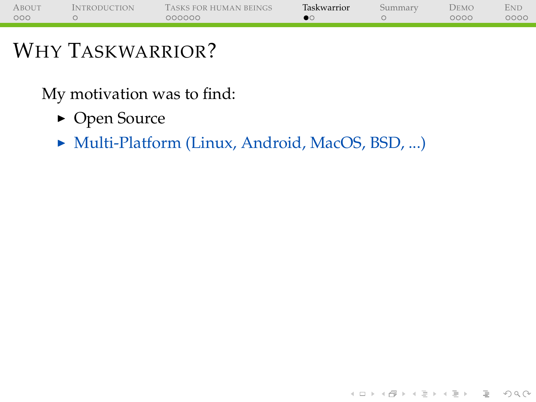| <b>ABOUT</b> | <b>INTRODUCTION</b> | TASKS FOR HUMAN BEINGS | Taskwarrior | Summary | Demo | END  |
|--------------|---------------------|------------------------|-------------|---------|------|------|
| 000          |                     | 000000                 |             |         | 0000 | 0000 |
|              |                     |                        |             |         |      |      |

- Open Source
- ▶ Multi-Platform (Linux, Android, MacOS, BSD, ...)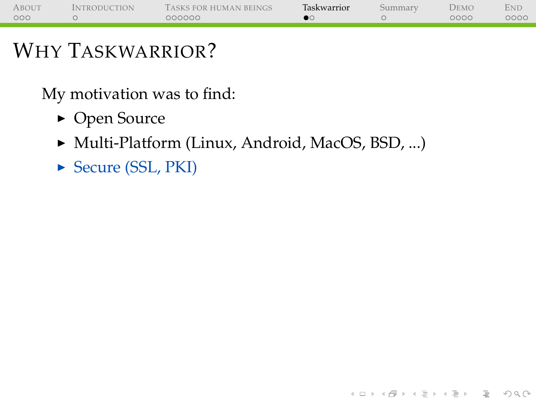| <b>ABOUT</b> | <b>INTRODUCTION</b> | TASKS FOR HUMAN BEINGS | Taskwarrior | Summary | Demo | END  |
|--------------|---------------------|------------------------|-------------|---------|------|------|
| 000          |                     | 000000                 |             |         | 0000 | 0000 |
|              |                     |                        |             |         |      |      |

(ロ) (@) (코) (코) (코) 2000

### WHY TASKWARRIOR?

- Open Source
- ▶ Multi-Platform (Linux, Android, MacOS, BSD, ...)
- ► Secure (SSL, PKI)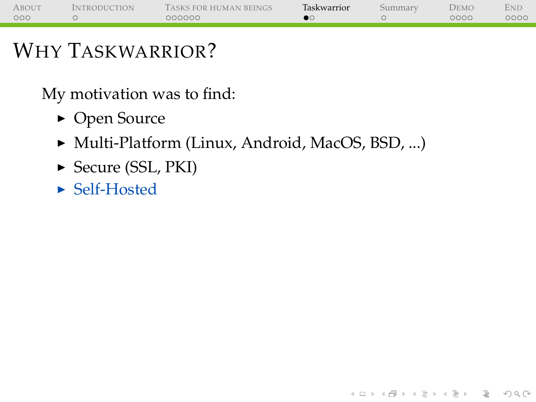| <b>ABOUT</b> | <b>INTRODUCTION</b> | TASKS FOR HUMAN BEINGS | Taskwarrior | Summary | Demo | END  |
|--------------|---------------------|------------------------|-------------|---------|------|------|
| 000          |                     | 000000                 |             |         | 0000 | 0000 |
|              |                     |                        |             |         |      |      |

(ロ) (@) (코) (코) (코) 2000

### WHY TASKWARRIOR?

- Open Source
- ▶ Multi-Platform (Linux, Android, MacOS, BSD, ...)
- ► Secure (SSL, PKI)
- $\blacktriangleright$  Self-Hosted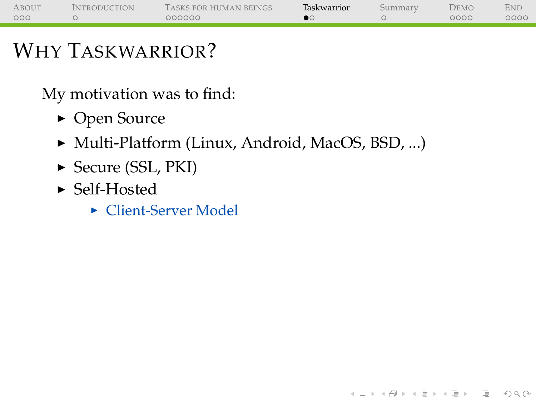| <b>ABOUT</b> | <b>INTRODUCTION</b> | TASKS FOR HUMAN BEINGS | Taskwarrior | Summary | Demo | END  |
|--------------|---------------------|------------------------|-------------|---------|------|------|
| 000          |                     | 000000                 |             |         | 0000 | 0000 |
|              |                     |                        |             |         |      |      |

**KEIN (FINKEIN EI KORO)** 

### WHY TASKWARRIOR?

- Open Source
- ▶ Multi-Platform (Linux, Android, MacOS, BSD, ...)
- ► Secure (SSL, PKI)
- $\blacktriangleright$  Self-Hosted
	- $\blacktriangleright$  Client-Server Model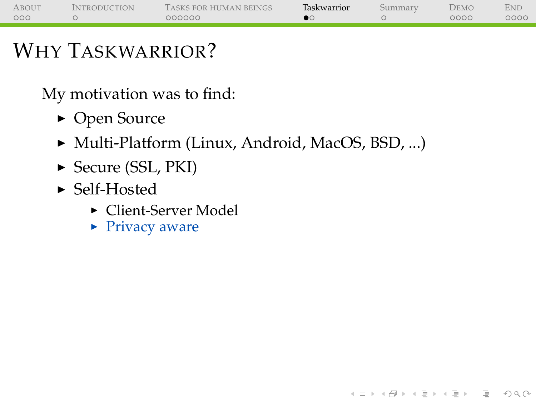| <b>ABOUT</b> | <b>INTRODUCTION</b> | TASKS FOR HUMAN BEINGS | Taskwarrior | Summary | Demo | END  |
|--------------|---------------------|------------------------|-------------|---------|------|------|
| 000          |                     | 000000                 |             |         | 0000 | 0000 |
|              |                     |                        |             |         |      |      |

**KEIN (FINKEIN EI KORO)** 

### WHY TASKWARRIOR?

- Open Source
- ▶ Multi-Platform (Linux, Android, MacOS, BSD, ...)
- $\triangleright$  Secure (SSL, PKI)
- $\blacktriangleright$  Self-Hosted
	- $\blacktriangleright$  Client-Server Model
	- $\blacktriangleright$  Privacy aware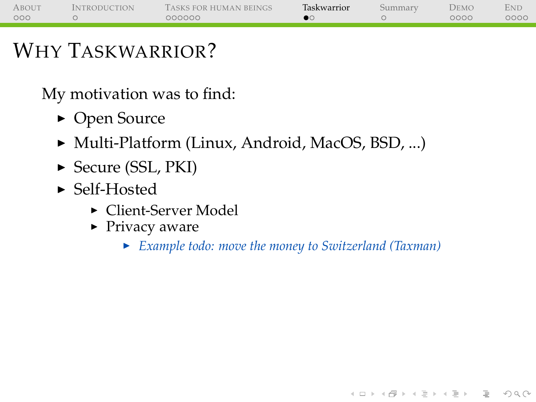| <b>ABOUT</b> | <b>INTRODUCTION</b> | TASKS FOR HUMAN BEINGS | Taskwarrior | Summary | Demo | End  |
|--------------|---------------------|------------------------|-------------|---------|------|------|
| 000          |                     | 000000                 |             |         | 0000 | 0000 |
|              |                     |                        |             |         |      |      |

My motivation was to find:

- Open Source
- ▶ Multi-Platform (Linux, Android, MacOS, BSD, ...)
- $\triangleright$  Secure (SSL, PKI)
- $\blacktriangleright$  Self-Hosted
	- $\blacktriangleright$  Client-Server Model
	- $\blacktriangleright$  Privacy aware
		- <sup>I</sup> *Example todo: move the money to Switzerland (Taxman)*

(ロ) (@) (코) (코) (코) 2000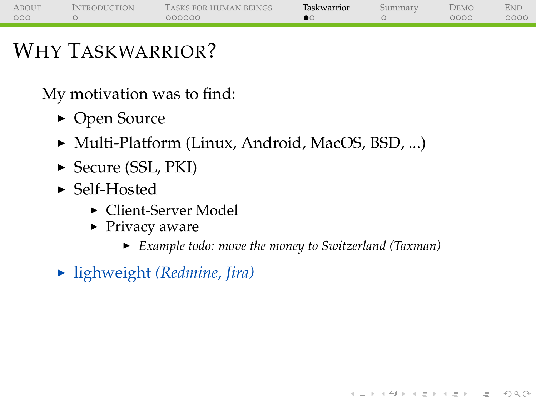| <b>ABOUT</b> | <i><b>INTRODUCTION</b></i> | TASKS FOR HUMAN BEINGS | Taskwarrior | Summarv | Demo | END  |
|--------------|----------------------------|------------------------|-------------|---------|------|------|
| 000          |                            | 000000                 |             |         | 0000 | 0000 |
|              |                            |                        |             |         |      |      |

My motivation was to find:

- Open Source
- ► Multi-Platform (Linux, Android, MacOS, BSD, ...)
- $\triangleright$  Secure (SSL, PKI)
- $\blacktriangleright$  Self-Hosted
	- $\blacktriangleright$  Client-Server Model
	- $\blacktriangleright$  Privacy aware
		- <sup>I</sup> *Example todo: move the money to Switzerland (Taxman)*

(ロ) (@) (코) (코) (코) 2000

▶ lighweight *(Redmine, Jira)*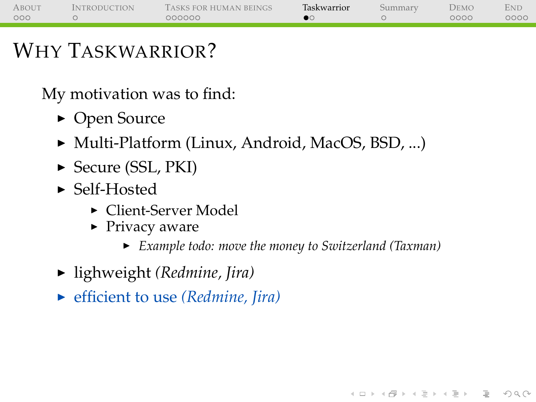| <b>ABOUT</b> | <i><b>INTRODUCTION</b></i> | TASKS FOR HUMAN BEINGS | Taskwarrior | Summarv | Demo | END  |
|--------------|----------------------------|------------------------|-------------|---------|------|------|
| 000          |                            | 000000                 |             |         | 0000 | 0000 |
|              |                            |                        |             |         |      |      |

My motivation was to find:

- Open Source
- ► Multi-Platform (Linux, Android, MacOS, BSD, ...)
- $\triangleright$  Secure (SSL, PKI)
- $\blacktriangleright$  Self-Hosted
	- ► Client-Server Model
	- $\blacktriangleright$  Privacy aware
		- <sup>I</sup> *Example todo: move the money to Switzerland (Taxman)*

**KOD KARD KED KED B YOUR** 

- ► lighweight *(Redmine, Jira)*
- ▶ <b>efficient to use</b> <i>(Redmine, Iira)</i>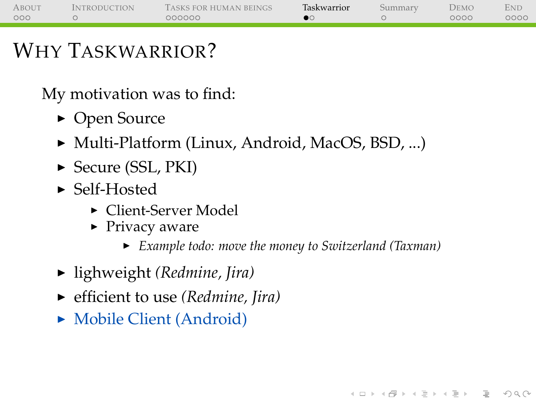| <b>ABOUT</b> | <b>INTRODUCTION</b> | TASKS FOR HUMAN BEINGS | Taskwarrior | Summary | Demo | END  |
|--------------|---------------------|------------------------|-------------|---------|------|------|
| 000          |                     | 000000                 |             |         | 0000 | 0000 |
|              |                     |                        |             |         |      |      |

My motivation was to find:

- Open Source
- ► Multi-Platform (Linux, Android, MacOS, BSD, ...)
- $\triangleright$  Secure (SSL, PKI)
- $\blacktriangleright$  Self-Hosted
	- ► Client-Server Model
	- $\blacktriangleright$  Privacy aware
		- <sup>I</sup> *Example todo: move the money to Switzerland (Taxman)*

**KEIN (FINKEIN EI KORO)** 

- ► lighweight *(Redmine, Jira)*
- ▶ <b>efficient to use</b> <i>(Redmine, Iira)</i>
- $\blacktriangleright$  Mobile Client (Android)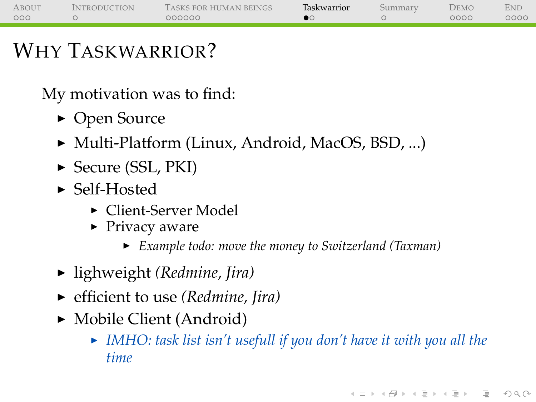| <b>ABOUT</b> | <i><b>INTRODUCTION</b></i> | TASKS FOR HUMAN BEINGS | Taskwarrior | Summarv | Demo | END  |
|--------------|----------------------------|------------------------|-------------|---------|------|------|
| 000          |                            | 000000                 |             |         | 0000 | 0000 |
|              |                            |                        |             |         |      |      |

- Open Source
- ► Multi-Platform (Linux, Android, MacOS, BSD, ...)
- $\triangleright$  Secure (SSL, PKI)
- $\blacktriangleright$  Self-Hosted
	- ► Client-Server Model
	- $\blacktriangleright$  Privacy aware
		- <sup>I</sup> *Example todo: move the money to Switzerland (Taxman)*
- ► lighweight *(Redmine, Jira)*
- ▶ <b>efficient to use</b> <i>(Redmine, Iira)</i>
- $\blacktriangleright$  Mobile Client (Android)
	- ► IMHO: task list isn't usefull if you don't have it with you all the *time*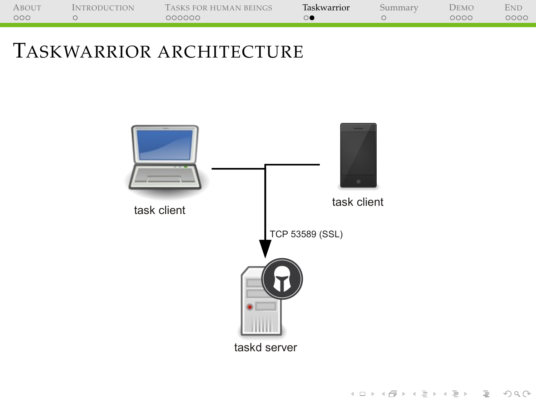| ABOUT | <b>INTRODUCTION</b> | TASKS FOR HUMAN BEINGS | Taskwarrior | Summarv | DEMO | <b>END</b> |
|-------|---------------------|------------------------|-------------|---------|------|------------|
| 000   |                     | 000000                 |             |         | 0000 | 0000       |
|       |                     |                        |             |         |      |            |

### TASKWARRIOR ARCHITECTURE

<span id="page-52-0"></span>

(ロ) (@) (코) (코) (코) 2000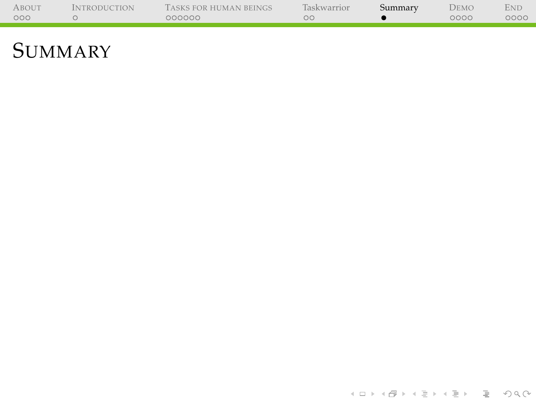<span id="page-53-0"></span>

| <b>ABOUT</b> | <b>INTRODUCTION</b> | TASKS FOR HUMAN BEINGS | Taskwarrior | Summary | Demo | End  |
|--------------|---------------------|------------------------|-------------|---------|------|------|
| 000          |                     | 000000                 | ೧೧          |         | 0000 | 0000 |
|              |                     |                        |             |         |      |      |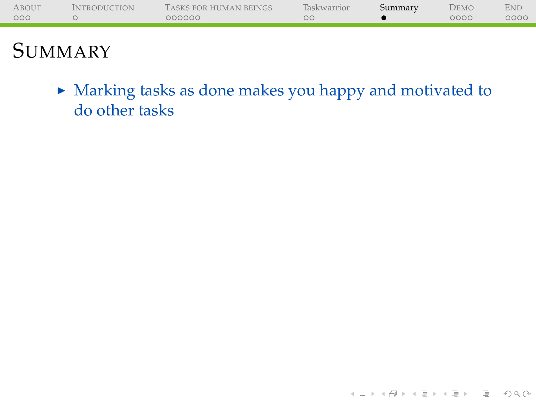| <b>ABOUT</b> | <b>INTRODUCTION</b> | TASKS FOR HUMAN BEINGS | Taskwarrior | Summary | <b>DEMO</b> | ENL  |
|--------------|---------------------|------------------------|-------------|---------|-------------|------|
| 000          |                     | 000000                 | ОC          |         | 0000        | 0000 |
|              |                     |                        |             |         |             |      |
|              |                     |                        |             |         |             |      |

 $\blacktriangleright$  Marking tasks as done makes you happy and motivated to do other tasks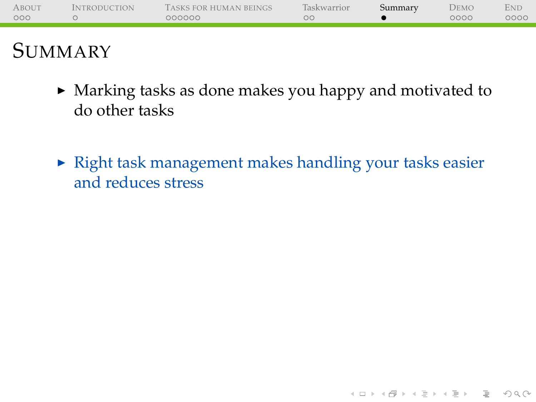| <b>ABOUT</b> | <b>INTRODUCTION</b> | TASKS FOR HUMAN BEINGS | Taskwarrior | Summary | DEMO | <b>END</b> |
|--------------|---------------------|------------------------|-------------|---------|------|------------|
| 000          |                     | 000000                 | OC.         |         | 0000 | 0000       |
|              |                     |                        |             |         |      |            |
|              |                     |                        |             |         |      |            |
|              |                     |                        |             |         |      |            |

- $\triangleright$  Marking tasks as done makes you happy and motivated to do other tasks
- $\blacktriangleright$  Right task management makes handling your tasks easier and reduces stress

(ロ) (@) (코) (코) (코) 2000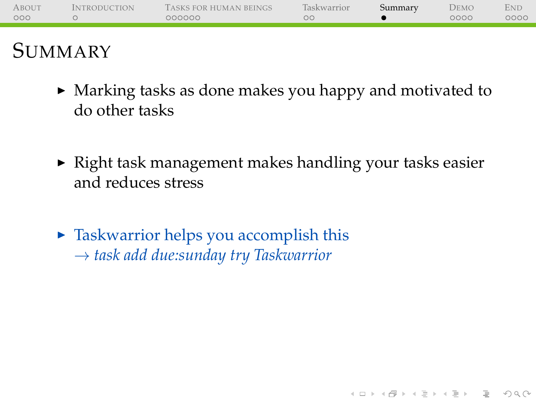| <b>ABOUT</b> | <b>INTRODUCTION</b> | TASKS FOR HUMAN BEINGS | Taskwarrior | Summary | DEMO | <b>END</b> |
|--------------|---------------------|------------------------|-------------|---------|------|------------|
| 000          |                     | 000000                 | OC.         |         | 0000 | 0000       |
|              |                     |                        |             |         |      |            |
|              |                     |                        |             |         |      |            |
|              |                     |                        |             |         |      |            |

- $\blacktriangleright$  Marking tasks as done makes you happy and motivated to do other tasks
- $\triangleright$  Right task management makes handling your tasks easier and reduces stress

(ロ) (@) (코) (코) (코) 2000

 $\triangleright$  Taskwarrior helps you accomplish this → *task add due:sunday try Taskwarrior*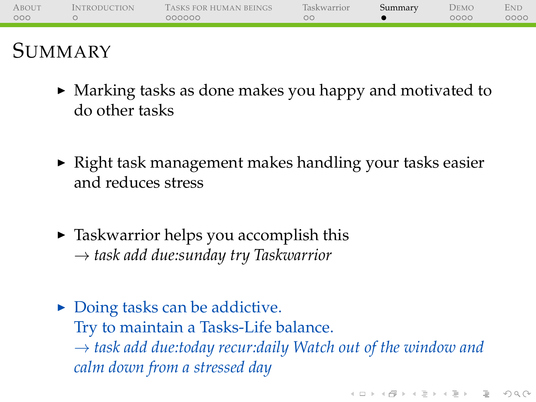| <b>ABOUT</b> | <b>INTRODUCTION</b> | TASKS FOR HUMAN BEINGS | Taskwarrior | Summary | DEMO | <b>END</b> |
|--------------|---------------------|------------------------|-------------|---------|------|------------|
| 000          |                     | 000000                 | OΟ          |         | 0000 | 0000       |
|              |                     |                        |             |         |      |            |
|              |                     |                        |             |         |      |            |

- $\blacktriangleright$  Marking tasks as done makes you happy and motivated to do other tasks
- $\triangleright$  Right task management makes handling your tasks easier and reduces stress
- $\triangleright$  Taskwarrior helps you accomplish this → *task add due:sunday try Taskwarrior*
- $\triangleright$  Doing tasks can be addictive. Try to maintain a Tasks-Life balance. → *task add due:today recur:daily Watch out of the window and calm down from a stressed day*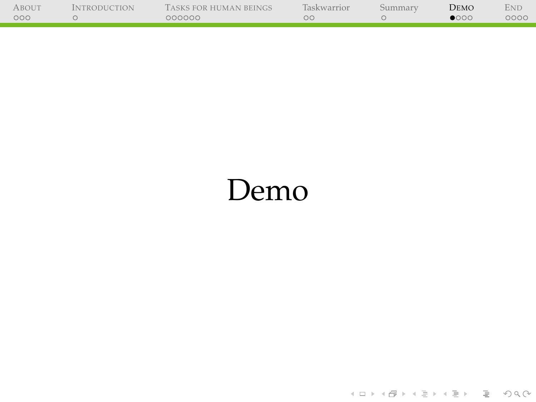| ABOUT | <b>INTRODUCTION</b> | TASKS FOR HUMAN BEINGS | <b>Taskwarrior</b> | Summary | Demo          | End  |
|-------|---------------------|------------------------|--------------------|---------|---------------|------|
| 000   |                     | 000000                 |                    |         | $\bullet$ 000 | 0000 |
|       |                     |                        |                    |         |               |      |

j.

# <span id="page-58-0"></span>Demo

←ロト + 母ト + ミト + ミト = ミーの9.0k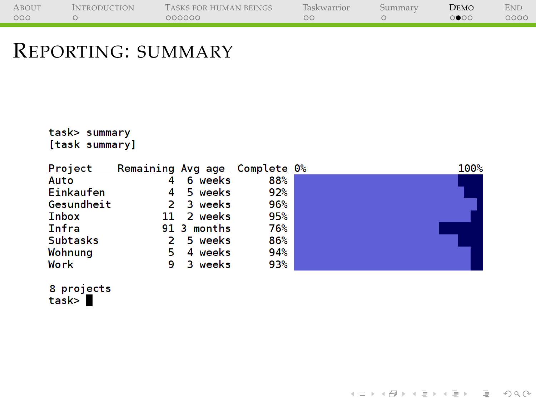| <b>ABOUT</b> | <b>INTRODUCTION</b> | TASKS FOR HUMAN BEINGS | Taskwarrior | Summarv | DEMO | <b>END</b> |
|--------------|---------------------|------------------------|-------------|---------|------|------------|
| 000          |                     | 000000                 |             |         | ○●○○ | 0000       |
|              |                     |                        |             |         |      |            |

#### REPORTING: SUMMARY

task> summary [task summary]

| Project    | Remaining Avg age Complete 0% |             |     | 100% |
|------------|-------------------------------|-------------|-----|------|
| Auto       |                               | 6 weeks     | 88% |      |
| Einkaufen  |                               | 4 5 weeks   | 92% |      |
| Gesundheit |                               | 2 3 weeks   | 96% |      |
| Inbox      |                               | 11 2 weeks  | 95% |      |
| Infra      |                               | 91 3 months | 76% |      |
| Subtasks   |                               | 2 5 weeks   | 86% |      |
| Wohnung    | 5.                            | 4 weeks     | 94% |      |
| Work       | 9                             | 3 weeks     | 93% |      |

(ロ) (@) (코) (코) (코) 2000

8 projects<br>task> █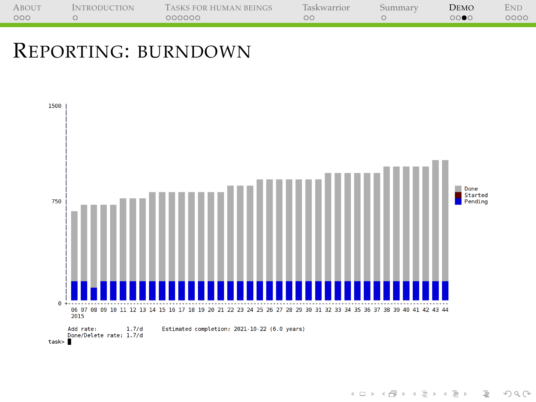| <b>ABOUT</b> | <b>INTRODUCTION</b> | TASKS FOR HUMAN BEINGS | Taskwarrior | Summarv | DEMO                | <b>END</b> |
|--------------|---------------------|------------------------|-------------|---------|---------------------|------------|
| 000          |                     | 000000                 |             |         | $\circ\bullet\circ$ | 0000       |
|              |                     |                        |             |         |                     |            |

### REPORTING: BURNDOWN



イロトイ団トイモトイモト  $\equiv$  $OQ$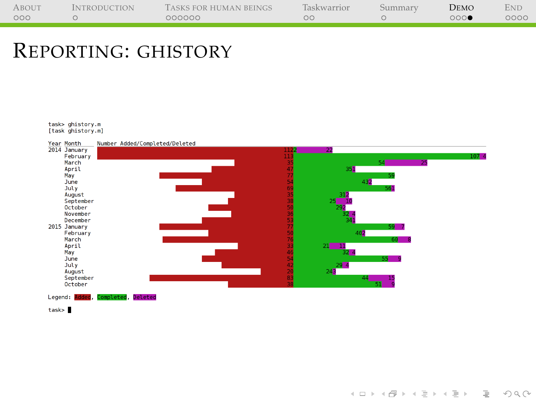| <b>ABOUT</b> | <b>INTRODUCTION</b> | TASKS FOR HUMAN BEINGS | <b>Taskwarrior</b> | Summary | Demo | Ene  |
|--------------|---------------------|------------------------|--------------------|---------|------|------|
| 000          |                     | 000000                 |                    |         | 000  | 0000 |
|              |                     |                        |                    |         |      |      |

#### REPORTING: GHISTORY

task> ghistory.m [task ghistory.m]



イロト イ押ト イミト イミト

 $\equiv$  $\circledcirc \circledcirc \circledcirc$ 

task>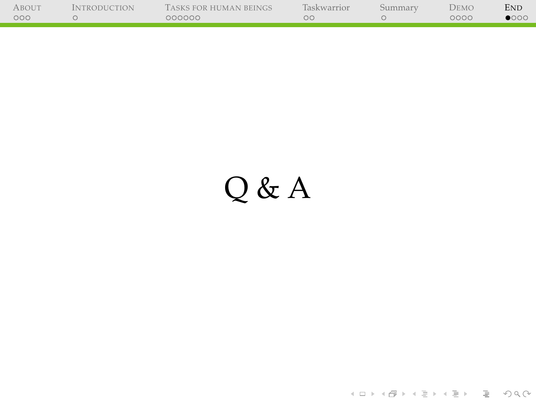| ABOUT | <i><b>INTRODUCTION</b></i> | TASKS FOR HUMAN BEINGS | Taskwarrior | Summarv | DEMO | <b>END</b>    |
|-------|----------------------------|------------------------|-------------|---------|------|---------------|
| 000   |                            | 000000                 |             |         | 0000 | $\bullet$ 000 |
|       |                            |                        |             |         |      |               |

j.

# <span id="page-62-0"></span>Q & A

イロト (部)→ (目)→ (目) → 目 → のQ (V)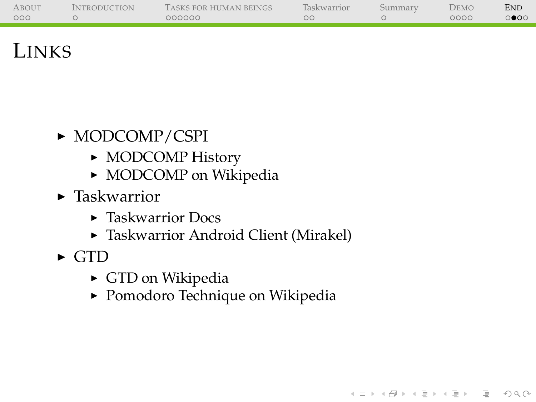| <b>ABOUT</b> | <b>INTRODUCTION</b> | TASKS FOR HUMAN BEINGS | <b>Taskwarrior</b> | Summary | DEMO | <b>END</b>               |
|--------------|---------------------|------------------------|--------------------|---------|------|--------------------------|
| 000          |                     | 000000                 | ЭC                 |         | 0000 | $\circ\bullet\circ\circ$ |
|              |                     |                        |                    |         |      |                          |

イロトイ団 トイミトイミト ニヨー りんぐ

### **LINKS**

- $\triangleright$  MODCOMP/CSPI
	- $\triangleright$  [MODCOMP History](http://www.cspi.com/de/uber/history)
	- [MODCOMP on Wikipedia](https://en.wikipedia.org/wiki/MODCOMP)
- $\blacktriangleright$  Taskwarrior
	- $\triangleright$  [Taskwarrior Docs](http://taskwarrior.org/docs/)
	- **F** [Taskwarrior Android Client \(Mirakel\)](http://mirakel.azapps.de/)
- <span id="page-63-0"></span> $\triangleright$  GTD
	- $\triangleright$  [GTD on Wikipedia](https://en.wikipedia.org/wiki/Getting_Things_Done)
	- **[Pomodoro Technique on Wikipedia](https://en.wikipedia.org/wiki/Pomodoro_Technique)**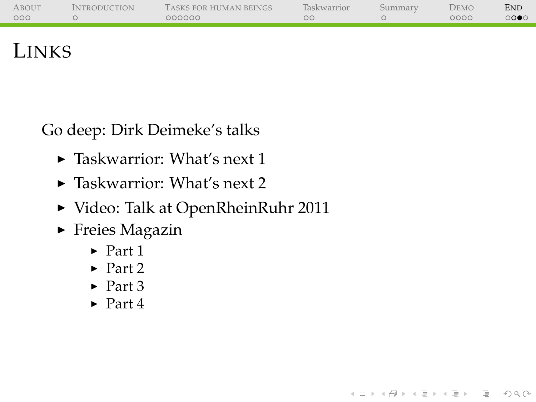| ABOUT | <b>INTRODUCTION</b> | TASKS FOR HUMAN BEINGS | <b>Taskwarrior</b> | Summarv | DEMO | <b>END</b> |
|-------|---------------------|------------------------|--------------------|---------|------|------------|
| 000   |                     | 000000                 | ОC                 |         | 0000 | $\circ$    |
|       |                     |                        |                    |         |      |            |

(ロ) (@) (코) (코) (코) 2000

### LINKS

Go deep: Dirk Deimeke's talks

- $\blacktriangleright$  [Taskwarrior: What's next 1](https://speakerdeck.com/ddeimeke/taskwarrior-whats-next-1)
- $\blacktriangleright$  [Taskwarrior: What's next 2](https://speakerdeck.com/ddeimeke/taskwarrior-whats-next-2)
- ▶ [Video: Talk at OpenRheinRuhr 2011](http://www.deimeke.net/dirk/blog/index.php?/archives/2855-Taskwarrior-Vortrag-....html)
- $\blacktriangleright$  Freies Magazin
	- $\blacktriangleright$  [Part 1](http://www.freiesmagazin.de/20120805-augustausgabe-erschienen)
	- $\blacktriangleright$  [Part 2](http://www.freiesmagazin.de/20120902-septemberausgabe-erschienen)
	- $\blacktriangleright$  [Part 3](http://www.freiesmagazin.de/20121007-oktoberausgabe-erschienen)
	- $\blacktriangleright$  [Part 4](http://www.freiesmagazin.de/20121104-novemberausgabe-erschienen)